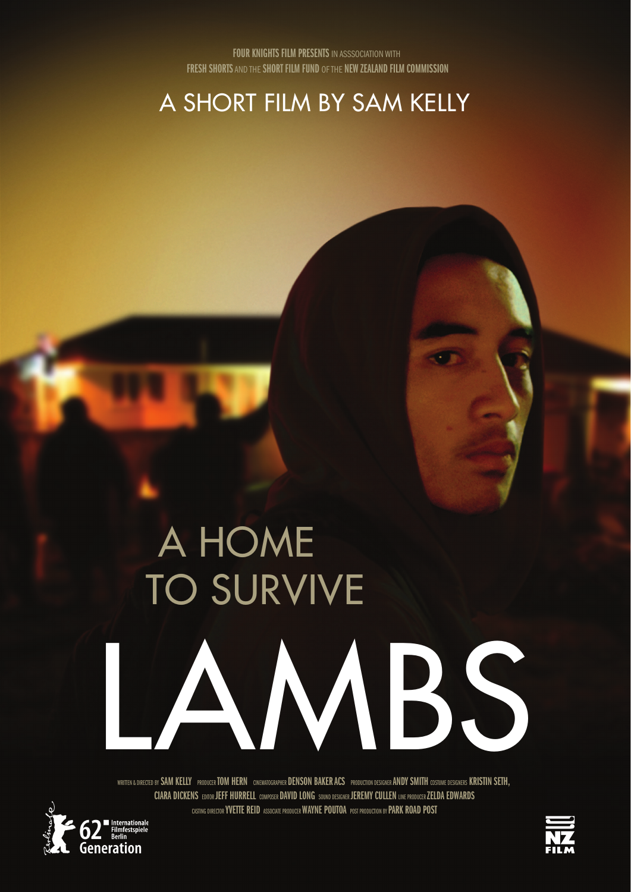A SHORT FILM BY SAM KELLY

# A HOME TO SURVIVE LAMBS

WRITTEN & DIRECTED BY SAM KELLY PRODUCER TOM HERN CINEMATOGRAPHER DENSON BAKER ACS PRODUCTION DESIGNER ANDY SMITH COSTUME DESIGNERS KRISTIN SETH, CIARA DICKENS EDITOR JEFF HURRELL COMPOSER DAVID LONG SOUND DESIGNER JEREMY CULLEN LINE PRODUCERZELDA EDWARDS CASTING DIRECTOR **YVETTE REID** ASSOCIATE PRODUCER **WAYNE POUTOA** POST PRODUCTION BY **PARK ROAD POST** 



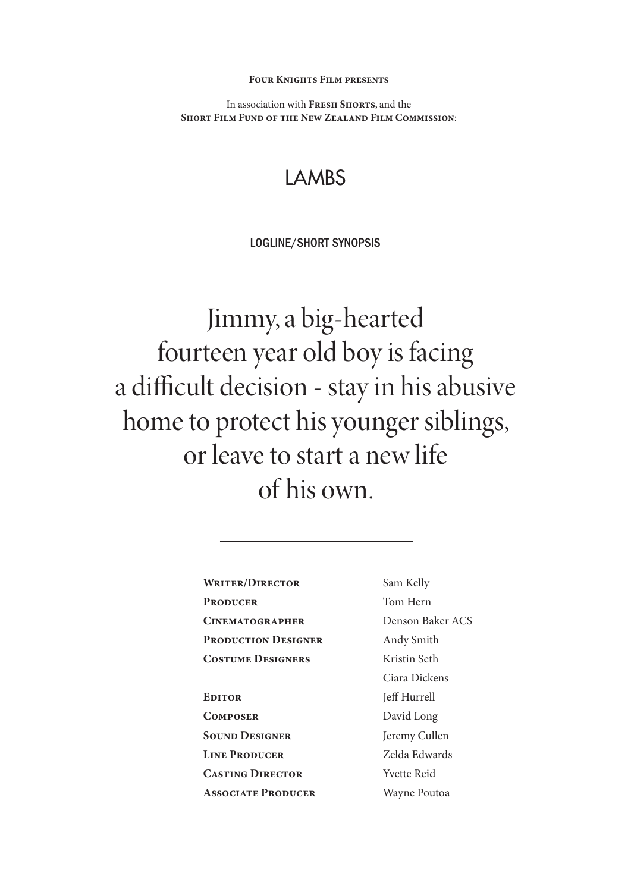**Four Knights Film presents** 

In association with **Fresh Shorts**, and the **Short Film Fund of the New Zealand Film Commission**:

## LAMBS

LOGLINE/SHORT SYNOPSIS

Jimmy, a big-hearted fourteen year old boy is facing a difficult decision - stay in his abusive home to protect his younger siblings, or leave to start a new life of his own.

| Sam Kelly   |
|-------------|
| Tom Hern    |
| Denson B    |
| Andy Smi    |
| Kristin Set |
| Ciara Dicl  |
| Jeff Hurre  |
| David Lor   |
| Jeremy Cu   |
| Zelda Edw   |
| Yvette Rei  |
|             |

**Associate Producer**

 $\mathop{\rm rn}\nolimits$ Baker ACS nith Seth ickens rell ong Cullen dwards eid Wayne Poutoa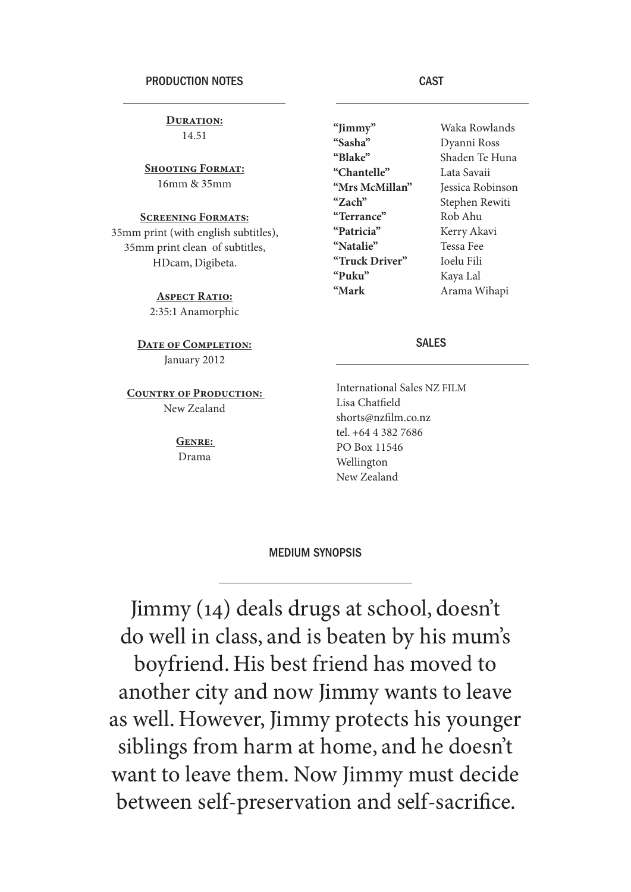**Duration:** 14.51

**Shooting Format:** 16mm & 35mm

### **Screening Formats:**

35mm print (with english subtitles), 35mm print clean of subtitles, HDcam, Digibeta.

> **Aspect Ratio:** 2:35:1 Anamorphic

**Date of Completion:** January 2012

**COUNTRY OF PRODUCTION:** New Zealand

> **Genre:**  Drama

**"Jimmy" "Sasha" "Blake" "Chantelle" "Mrs McMillan" "Zach" "Terrance" "Patricia" "Natalie" "Truck Driver" "Puku" "Mark**

Waka Rowlands Dyanni Ross Shaden Te Huna Lata Savaii Jessica Robinson Stephen Rewiti Rob Ahu Kerry Akavi Tessa Fee Ioelu Fili Kaya Lal Arama Wihapi

#### SALES

International Sales NZ FILM Lisa Chatfield shorts@nzfilm.co.nz tel. +64 4 382 7686 PO Box 11546 Wellington New Zealand

#### MEDIUM SYNOPSIS

Jimmy (14) deals drugs at school, doesn't do well in class, and is beaten by his mum's boyfriend. His best friend has moved to another city and now Jimmy wants to leave as well. However, Jimmy protects his younger siblings from harm at home, and he doesn't want to leave them. Now Jimmy must decide between self-preservation and self-sacrifice.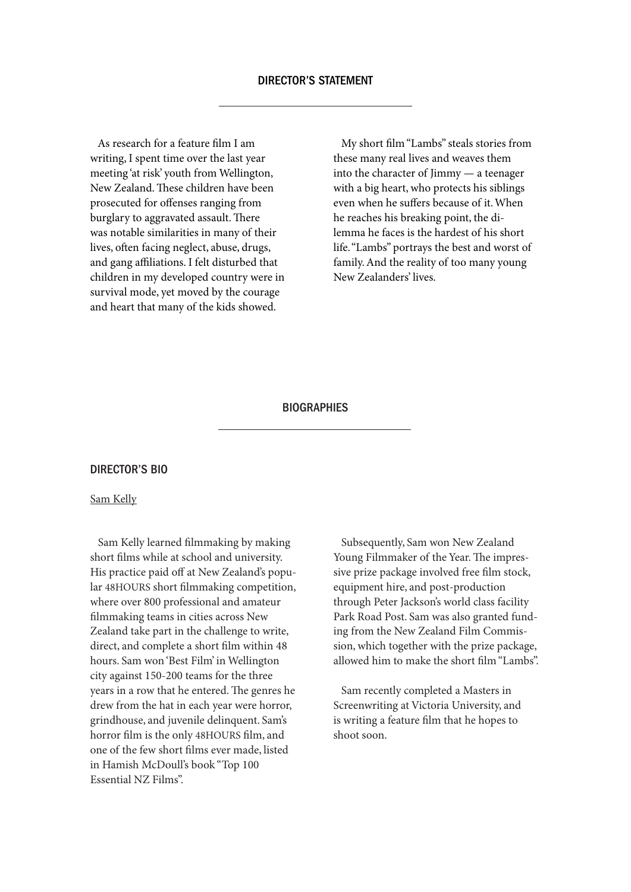As research for a feature film I am writing, I spent time over the last year meeting 'at risk' youth from Wellington, New Zealand. These children have been prosecuted for offenses ranging from burglary to aggravated assault. There was notable similarities in many of their lives, often facing neglect, abuse, drugs, and gang affiliations. I felt disturbed that children in my developed country were in survival mode, yet moved by the courage and heart that many of the kids showed.

 My short film "Lambs" steals stories from these many real lives and weaves them into the character of Jimmy — a teenager with a big heart, who protects his siblings even when he suffers because of it. When he reaches his breaking point, the dilemma he faces is the hardest of his short life. "Lambs" portrays the best and worst of family. And the reality of too many young New Zealanders' lives.

#### **BIOGRAPHIES**

#### DIRECTOR'S BIO

#### Sam Kelly

 Sam Kelly learned filmmaking by making short films while at school and university. His practice paid off at New Zealand's popular 48HOURS short filmmaking competition, where over 800 professional and amateur filmmaking teams in cities across New Zealand take part in the challenge to write, direct, and complete a short film within 48 hours. Sam won 'Best Film' in Wellington city against 150-200 teams for the three years in a row that he entered. The genres he drew from the hat in each year were horror, grindhouse, and juvenile delinquent. Sam's horror film is the only 48HOURS film, and one of the few short films ever made, listed in Hamish McDoull's book "Top 100 Essential NZ Films".

 Subsequently, Sam won New Zealand Young Filmmaker of the Year. The impressive prize package involved free film stock, equipment hire, and post-production through Peter Jackson's world class facility Park Road Post. Sam was also granted funding from the New Zealand Film Commission, which together with the prize package, allowed him to make the short film "Lambs".

 Sam recently completed a Masters in Screenwriting at Victoria University, and is writing a feature film that he hopes to shoot soon.